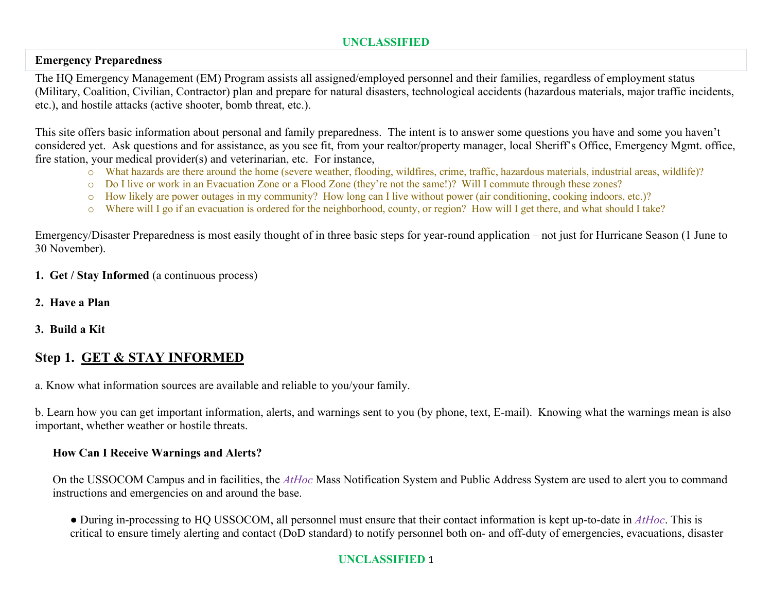## **Emergency Preparedness**

The HQ Emergency Management (EM) Program assists all assigned/employed personnel and their families, regardless of employment status (Military, Coalition, Civilian, Contractor) plan and prepare for natural disasters, technological accidents (hazardous materials, major traffic incidents, etc.), and hostile attacks (active shooter, bomb threat, etc.).

This site offers basic information about personal and family preparedness. The intent is to answer some questions you have and some you haven't considered yet. Ask questions and for assistance, as you see fit, from your realtor/property manager, local Sheriff's Office, Emergency Mgmt. office, fire station, your medical provider(s) and veterinarian, etc. For instance,

- o What hazards are there around the home (severe weather, flooding, wildfires, crime, traffic, hazardous materials, industrial areas, wildlife)?
- o Do I live or work in an Evacuation Zone or a Flood Zone (they're not the same!)? Will I commute through these zones?
- o How likely are power outages in my community? How long can I live without power (air conditioning, cooking indoors, etc.)?
- o Where will I go if an evacuation is ordered for the neighborhood, county, or region? How will I get there, and what should I take?

Emergency/Disaster Preparedness is most easily thought of in three basic steps for year-round application – not just for Hurricane Season (1 June to 30 November).

- **1. Get / Stay Informed** (a continuous process)
- **2. Have a Plan**
- **3. Build a Kit**

# **Step 1. GET & STAY INFORMED**

a. Know what information sources are available and reliable to you/your family.

b. Learn how you can get important information, alerts, and warnings sent to you (by phone, text, E-mail). Knowing what the warnings mean is also important, whether weather or hostile threats.

## **How Can I Receive Warnings and Alerts?**

On the USSOCOM Campus and in facilities, the *AtHoc* Mass Notification System and Public Address System are used to alert you to command instructions and emergencies on and around the base.

● During in-processing to HQ USSOCOM, all personnel must ensure that their contact information is kept up-to-date in *AtHoc*. This is critical to ensure timely alerting and contact (DoD standard) to notify personnel both on- and off-duty of emergencies, evacuations, disaster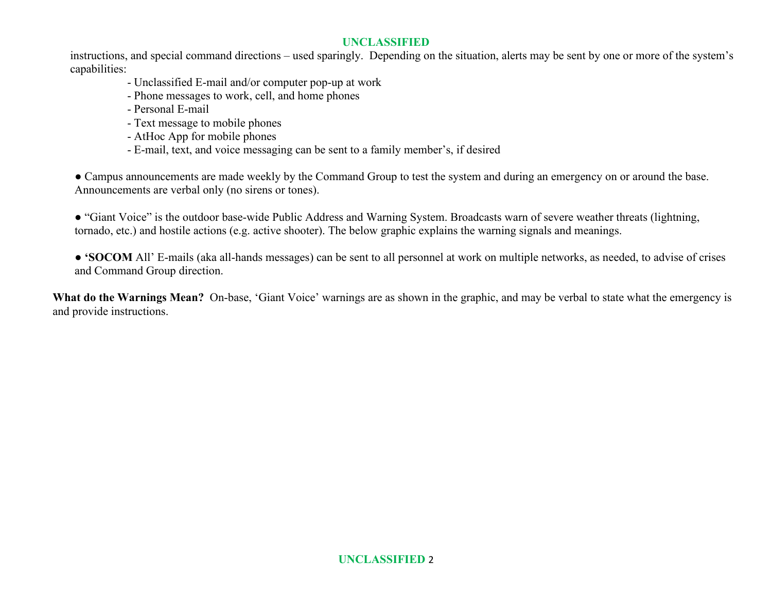instructions, and special command directions – used sparingly. Depending on the situation, alerts may be sent by one or more of the system's capabilities:

- Unclassified E-mail and/or computer pop-up at work
- Phone messages to work, cell, and home phones
- Personal E-mail
- Text message to mobile phones
- AtHoc App for mobile phones
- E-mail, text, and voice messaging can be sent to a family member's, if desired

● Campus announcements are made weekly by the Command Group to test the system and during an emergency on or around the base. Announcements are verbal only (no sirens or tones).

● "Giant Voice" is the outdoor base-wide Public Address and Warning System. Broadcasts warn of severe weather threats (lightning, tornado, etc.) and hostile actions (e.g. active shooter). The below graphic explains the warning signals and meanings.

● **'SOCOM** All' E-mails (aka all-hands messages) can be sent to all personnel at work on multiple networks, as needed, to advise of crises and Command Group direction.

**What do the Warnings Mean?** On-base, 'Giant Voice' warnings are as shown in the graphic, and may be verbal to state what the emergency is and provide instructions.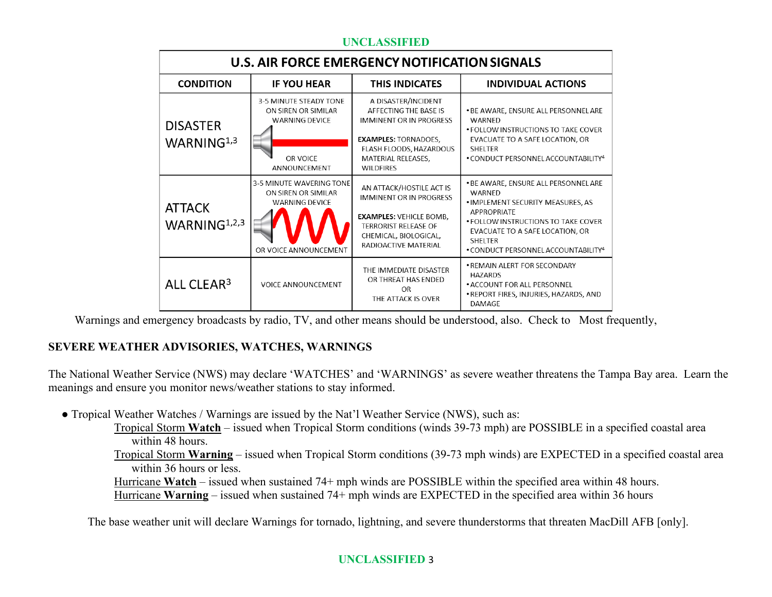| U.S. AIR FORCE EMERGENCY NOTIFICATION SIGNALS |                                                                                                    |                                                                                                                                                                                    |                                                                                                                                                                                                                                                          |  |  |  |
|-----------------------------------------------|----------------------------------------------------------------------------------------------------|------------------------------------------------------------------------------------------------------------------------------------------------------------------------------------|----------------------------------------------------------------------------------------------------------------------------------------------------------------------------------------------------------------------------------------------------------|--|--|--|
| <b>CONDITION</b>                              | <b>IF YOU HEAR</b>                                                                                 | <b>THIS INDICATES</b>                                                                                                                                                              | <b>INDIVIDUAL ACTIONS</b>                                                                                                                                                                                                                                |  |  |  |
| <b>DISASTER</b><br>WARNING <sup>1,3</sup>     | 3-5 MINUTE STEADY TONE<br>ON SIREN OR SIMILAR<br><b>WARNING DEVICE</b><br>OR VOICE<br>ANNOUNCEMENT | A DISASTER/INCIDENT<br>AFFECTING THE BASE IS<br><b>IMMINENT OR IN PROGRESS</b><br><b>EXAMPLES: TORNADOES,</b><br>FLASH FLOODS, HAZARDOUS<br>MATERIAL RELEASES,<br><b>WILDFIRES</b> | . BE AWARE, ENSURE ALL PERSONNEL ARE<br>WARNED<br>• FOLLOW INSTRUCTIONS TO TAKE COVER<br>EVACUATE TO A SAFE LOCATION, OR<br><b>SHELTER</b><br>. CONDUCT PERSONNEL ACCOUNTABILITY <sup>4</sup>                                                            |  |  |  |
| <b>ATTACK</b><br>WARNING $1,2,3$              | 3-5 MINUTE WAVERING TONE<br>ON SIREN OR SIMILAR<br><b>WARNING DEVICE</b><br>OR VOICE ANNOUNCEMENT  | AN ATTACK/HOSTILE ACT IS<br><b>IMMINENT OR IN PROGRESS</b><br><b>EXAMPLES: VEHICLE BOMB.</b><br><b>TERRORIST RELEASE OF</b><br>CHEMICAL, BIOLOGICAL,<br>RADIOACTIVE MATERIAL       | . BE AWARE, ENSURE ALL PERSONNEL ARE<br>WARNED<br>. IMPLEMENT SECURITY MEASURES, AS<br><b>APPROPRIATE</b><br>• FOLLOW INSTRUCTIONS TO TAKE COVER<br>EVACUATE TO A SAFE LOCATION, OR<br><b>SHELTER</b><br>. CONDUCT PERSONNEL ACCOUNTABILITY <sup>4</sup> |  |  |  |
| ALL CLEAR <sup>3</sup>                        | <b>VOICE ANNOUNCEMENT</b>                                                                          | THE IMMEDIATE DISASTER<br>OR THREAT HAS ENDED<br>OR<br>THE ATTACK IS OVER                                                                                                          | • REMAIN ALERT FOR SECONDARY<br><b>HAZARDS</b><br>• ACCOUNT FOR ALL PERSONNEL<br>. REPORT FIRES, INJURIES, HAZARDS, AND<br><b>DAMAGE</b>                                                                                                                 |  |  |  |

Warnings and emergency broadcasts by radio, TV, and other means should be understood, also. Check to Most frequently,

## **SEVERE WEATHER ADVISORIES, WATCHES, WARNINGS**

The National Weather Service (NWS) may declare 'WATCHES' and 'WARNINGS' as severe weather threatens the Tampa Bay area. Learn the meanings and ensure you monitor news/weather stations to stay informed.

- **●** Tropical Weather Watches / Warnings are issued by the Nat'l Weather Service (NWS), such as:
	- Tropical Storm **Watch** issued when Tropical Storm conditions (winds 39-73 mph) are POSSIBLE in a specified coastal area within 48 hours.
	- Tropical Storm **Warning** issued when Tropical Storm conditions (39-73 mph winds) are EXPECTED in a specified coastal area within 36 hours or less.

Hurricane **Watch** – issued when sustained 74+ mph winds are POSSIBLE within the specified area within 48 hours. Hurricane **Warning** – issued when sustained 74+ mph winds are EXPECTED in the specified area within 36 hours

The base weather unit will declare Warnings for tornado, lightning, and severe thunderstorms that threaten MacDill AFB [only].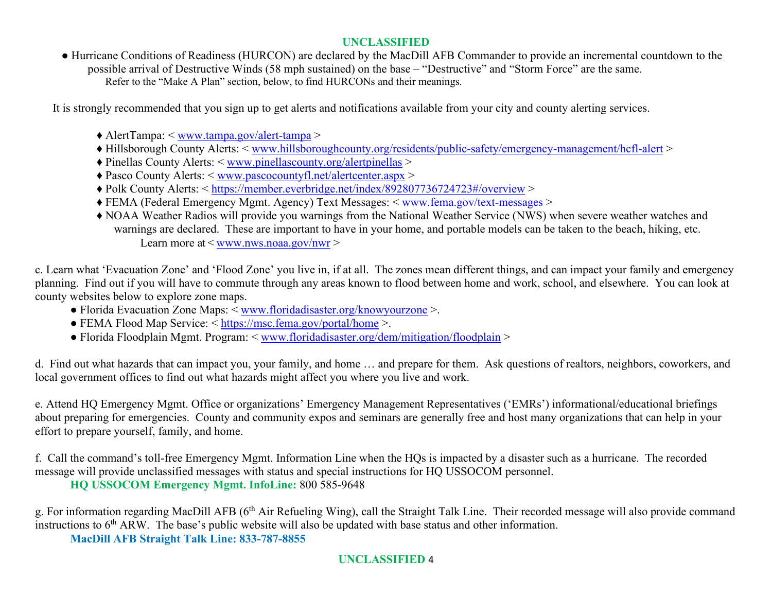**●** Hurricane Conditions of Readiness (HURCON) are declared by the MacDill AFB Commander to provide an incremental countdown to the possible arrival of Destructive Winds (58 mph sustained) on the base – "Destructive" and "Storm Force" are the same. Refer to the "Make A Plan" section, below, to find HURCONs and their meanings.

It is strongly recommended that you sign up to get alerts and notifications available from your city and county alerting services.

- ♦ AlertTampa: < [www.tampa.gov/alert-tampa](http://www.tampa.gov/alert-tampa) >
- ♦ Hillsborough County Alerts: < [www.hillsboroughcounty.org/residents/public-safety/emergency-management/hcfl-alert](http://www.hillsboroughcounty.org/residents/public-safety/emergency-management/hcfl-alert) >
- ♦ Pinellas County Alerts: < [www.pinellascounty.org/alertpinellas](http://www.pinellascounty.org/alertpinellas) >
- ♦ Pasco County Alerts: < [www.pascocountyfl.net/alertcenter.aspx](http://www.pascocountyfl.net/alertcenter.aspx) >
- ♦ Polk County Alerts: <<https://member.everbridge.net/index/892807736724723#/overview> >
- ♦ FEMA (Federal Emergency Mgmt. Agency) Text Messages: < [www.fema.gov/text-messages](http://www.fema.gov/text-messages) >
- ♦ NOAA Weather Radios will provide you warnings from the National Weather Service (NWS) when severe weather watches and warnings are declared. These are important to have in your home, and portable models can be taken to the beach, hiking, etc. Learn more at  $\langle$  [www.nws.noaa.gov/nwr](http://www.nws.noaa.gov/nwr)  $>$

c. Learn what 'Evacuation Zone' and 'Flood Zone' you live in, if at all. The zones mean different things, and can impact your family and emergency planning. Find out if you will have to commute through any areas known to flood between home and work, school, and elsewhere. You can look at county websites below to explore zone maps.

- Florida Evacuation Zone Maps: < [www.floridadisaster.org/knowyourzone](http://www.floridadisaster.org/knowyourzone) >.
- FEMA Flood Map Service: < <https://msc.fema.gov/portal/home> >.
- Florida Floodplain Mgmt. Program: < [www.floridadisaster.org/dem/mitigation/floodplain](http://www.floridadisaster.org/dem/mitigation/floodplain) >

d. Find out what hazards that can impact you, your family, and home … and prepare for them. Ask questions of realtors, neighbors, coworkers, and local government offices to find out what hazards might affect you where you live and work.

e. Attend HQ Emergency Mgmt. Office or organizations' Emergency Management Representatives ('EMRs') informational/educational briefings about preparing for emergencies. County and community expos and seminars are generally free and host many organizations that can help in your effort to prepare yourself, family, and home.

f. Call the command's toll-free Emergency Mgmt. Information Line when the HQs is impacted by a disaster such as a hurricane. The recorded message will provide unclassified messages with status and special instructions for HQ USSOCOM personnel. **HQ USSOCOM Emergency Mgmt. InfoLine:** 800 585-9648

g. For information regarding MacDill AFB (6<sup>th</sup> Air Refueling Wing), call the Straight Talk Line. Their recorded message will also provide command instructions to  $6<sup>th</sup> ARW$ . The base's public website will also be updated with base status and other information.

**MacDill AFB Straight Talk Line: 833-787-8855**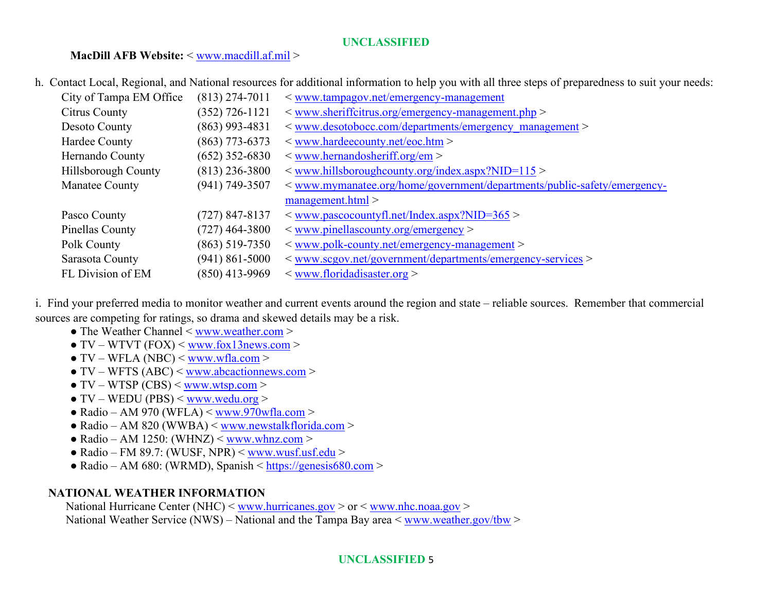### **MacDill AFB Website:** < [www.macdill.af.mil](http://www.macdill.af.mil/) >

h. Contact Local, Regional, and National resources for additional information to help you with all three steps of preparedness to suit your needs:

| City of Tampa EM Office | $(813)$ 274-7011   | $\leq$ www.tampagov.net/emergency-management                             |
|-------------------------|--------------------|--------------------------------------------------------------------------|
| Citrus County           | $(352)$ 726-1121   | $\langle$ www.sheriffcitrus.org/emergency-management.php $\rangle$       |
| Desoto County           | $(863)$ 993-4831   | < www.desotobocc.com/departments/emergency management >                  |
| Hardee County           | $(863)$ 773-6373   | $\leq$ www.hardeecounty.net/eoc.htm $>$                                  |
| Hernando County         | $(652)$ 352-6830   | $\langle$ www.hernandosheriff.org/em $>$                                 |
| Hillsborough County     | $(813)$ 236-3800   | $\leq$ www.hillsboroughcounty.org/index.aspx?NID=115 >                   |
| Manatee County          | $(941) 749 - 3507$ | < www.mymanatee.org/home/government/departments/public-safety/emergency- |
|                         |                    | $m$ anagement.html $>$                                                   |
| Pasco County            | (727) 847-8137     | $\langle$ www.pascocountyfl.net/Index.aspx?NID=365 $>$                   |
| Pinellas County         | (727) 464-3800     | $\langle$ www.pinellascounty.org/emergency $>$                           |
| Polk County             | $(863)$ 519-7350   | $\leq$ www.polk-county.net/emergency-management $>$                      |
| Sarasota County         | $(941)$ 861-5000   | < www.scgov.net/government/departments/emergency-services >              |
| FL Division of EM       | $(850)$ 413-9969   | $\leq$ www.floridadisaster.org $>$                                       |

i. Find your preferred media to monitor weather and current events around the region and state – reliable sources. Remember that commercial sources are competing for ratings, so drama and skewed details may be a risk.

- The Weather Channel < [www.weather.com](http://www.weather.com/) >
- $\bullet$  TV WTVT (FOX) < [www.fox13news.com](http://www.fox13news.com/) >
- $\bullet$  TV WFLA (NBC) < [www.wfla.com](http://www.wfla.com/) >
- $\bullet$  TV WFTS (ABC) < [www.abcactionnews.com](http://www.abcactionnews.com/) >
- $\bullet$  TV WTSP (CBS)  $\leq$  [www.wtsp.com](http://www.wtsp.com/)  $>$
- $\bullet$  TV WEDU (PBS)  $\leq$  [www.wedu.org](http://www.wedu.org/)  $>$
- $\bullet$  Radio AM 970 (WFLA) < [www.970wfla.com](http://www.970wfla.com/) >
- $\bullet$  Radio AM 820 (WWBA)  $\leq$  [www.newstalkflorida.com](http://www.newstalkflorida.com/)  $>$
- $\bullet$  Radio AM 1250: (WHNZ)  $\leq$  [www.whnz.com](http://www.whnz.com/) >
- $\bullet$  Radio FM 89.7: (WUSF, NPR)  $\leq$  [www.wusf.usf.edu](http://www.wusf.usf.edu/)  $>$
- $\bullet$  Radio AM 680: (WRMD), Spanish < [https://genesis680.com](https://genesis680.com/) >

## **NATIONAL WEATHER INFORMATION**

National Hurricane Center (NHC) < [www.hurricanes.gov](http://www.hurricanes.gov/) > or < [www.nhc.noaa.gov](http://www.nhc.noaa.gov/) > National Weather Service (NWS) – National and the Tampa Bay area < [www.weather.gov/tbw](http://www.weather.gov/tbw) >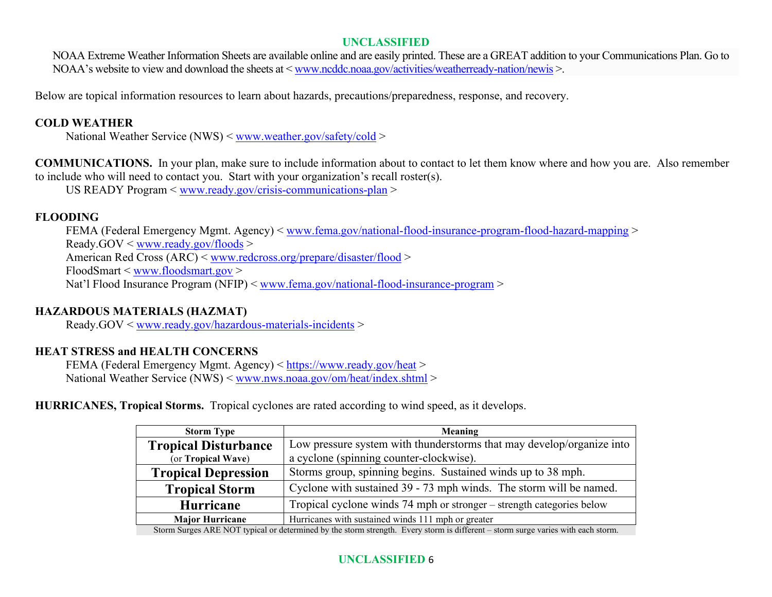NOAA Extreme Weather Information Sheets are available online and are easily printed. These are a GREAT addition to your Communications Plan. Go to NOAA's website to view and download the sheets at [< www.ncddc.noaa.gov/activities/weatherready-nation/newis](http://www.ncddc.noaa.gov/activities/weatherready-nation/newis) >.

Below are topical information resources to learn about hazards, precautions/preparedness, response, and recovery.

## **COLD WEATHER**

National Weather Service (NWS) < [www.weather.gov/safety/cold](http://www.weather.gov/safety/cold) >

**COMMUNICATIONS.** In your plan, make sure to include information about to contact to let them know where and how you are. Also remember to include who will need to contact you. Start with your organization's recall roster(s).

US READY Program < [www.ready.gov/crisis-communications-plan](http://www.ready.gov/crisis-communications-plan) >

### **FLOODING**

FEMA (Federal Emergency Mgmt. Agency) < [www.fema.gov/national-flood-insurance-program-flood-hazard-mapping](http://www.fema.gov/national-flood-insurance-program-flood-hazard-mapping) > Ready.GOV < [www.ready.gov/floods](http://www.ready.gov/floods) > American Red Cross (ARC) < [www.redcross.org/prepare/disaster/flood](http://www.redcross.org/prepare/disaster/flood) > FloodSmart < [www.floodsmart.gov](http://www.floodsmart.gov/) > Nat'l Flood Insurance Program (NFIP) < [www.fema.gov/national-flood-insurance-program](http://www.fema.gov/national-flood-insurance-program) >

## **HAZARDOUS MATERIALS (HAZMAT)**

Ready.GOV < [www.ready.gov/hazardous-materials-incidents](http://www.ready.gov/hazardous-materials-incidents) >

## **HEAT STRESS and HEALTH CONCERNS**

FEMA (Federal Emergency Mgmt. Agency) < <https://www.ready.gov/heat> > National Weather Service (NWS) < [www.nws.noaa.gov/om/heat/index.shtml](http://www.nws.noaa.gov/om/heat/index.shtml) >

**HURRICANES, Tropical Storms.** Tropical cyclones are rated according to wind speed, as it develops.

| <b>Storm Type</b>                                                                                                                | <b>Meaning</b>                                                        |  |
|----------------------------------------------------------------------------------------------------------------------------------|-----------------------------------------------------------------------|--|
| <b>Tropical Disturbance</b>                                                                                                      | Low pressure system with thunderstorms that may develop/organize into |  |
| (or Tropical Wave)                                                                                                               | a cyclone (spinning counter-clockwise).                               |  |
| <b>Tropical Depression</b>                                                                                                       | Storms group, spinning begins. Sustained winds up to 38 mph.          |  |
| <b>Tropical Storm</b>                                                                                                            | Cyclone with sustained 39 - 73 mph winds. The storm will be named.    |  |
| <b>Hurricane</b>                                                                                                                 | Tropical cyclone winds 74 mph or stronger – strength categories below |  |
| <b>Major Hurricane</b>                                                                                                           | Hurricanes with sustained winds 111 mph or greater                    |  |
| Storm Surges ARE NOT typical or determined by the storm strength. Every storm is different - storm surge varies with each storm. |                                                                       |  |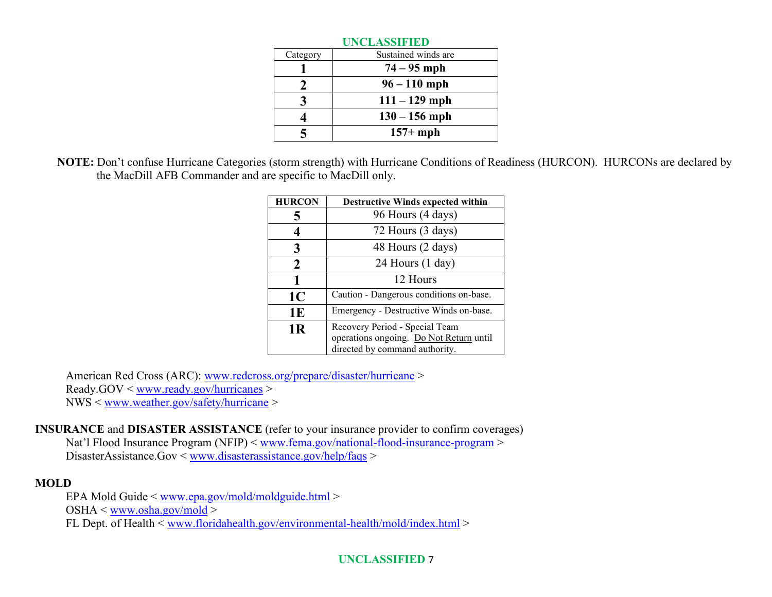| <b>UNCLASSIFIED</b> |                     |  |
|---------------------|---------------------|--|
| Category            | Sustained winds are |  |
|                     | $74 - 95$ mph       |  |
| 2                   | $96 - 110$ mph      |  |
|                     | $111 - 129$ mph     |  |
|                     | $130 - 156$ mph     |  |
|                     | $157+mph$           |  |

**NOTE:** Don't confuse Hurricane Categories (storm strength) with Hurricane Conditions of Readiness (HURCON). HURCONs are declared by the MacDill AFB Commander and are specific to MacDill only.

| <b>HURCON</b>  | <b>Destructive Winds expected within</b>                                                                    |  |
|----------------|-------------------------------------------------------------------------------------------------------------|--|
|                | 96 Hours (4 days)                                                                                           |  |
|                | 72 Hours (3 days)                                                                                           |  |
| 3              | 48 Hours (2 days)                                                                                           |  |
| $\mathcal{L}$  | 24 Hours (1 day)                                                                                            |  |
|                | 12 Hours                                                                                                    |  |
| 1 <sub>C</sub> | Caution - Dangerous conditions on-base.                                                                     |  |
| 1E             | Emergency - Destructive Winds on-base.                                                                      |  |
| 1 <sub>R</sub> | Recovery Period - Special Team<br>operations ongoing. Do Not Return until<br>directed by command authority. |  |

American Red Cross (ARC): [www.redcross.org/prepare/disaster/hurricane](http://www.redcross.org/prepare/disaster/hurricane) > Ready.GOV < [www.ready.gov/hurricanes](http://www.ready.gov/hurricanes) > NWS < [www.weather.gov/safety/hurricane](http://www.weather.gov/safety/hurricane) >

**INSURANCE** and **DISASTER ASSISTANCE** (refer to your insurance provider to confirm coverages) Nat'l Flood Insurance Program (NFIP) < [www.fema.gov/national-flood-insurance-program](http://www.fema.gov/national-flood-insurance-program) > DisasterAssistance.Gov < [www.disasterassistance.gov/help/faqs](http://www.disasterassistance.gov/help/faqs) >

## **MOLD**

EPA Mold Guide < [www.epa.gov/mold/moldguide.html](http://www.epa.gov/mold/moldguide.html) >  $OSHA \leq$ [www.osha.gov/mold](http://www.osha.gov/mold) > FL Dept. of Health < [www.floridahealth.gov/environmental-health/mold/index.html](http://www.floridahealth.gov/environmental-health/mold/index.html) >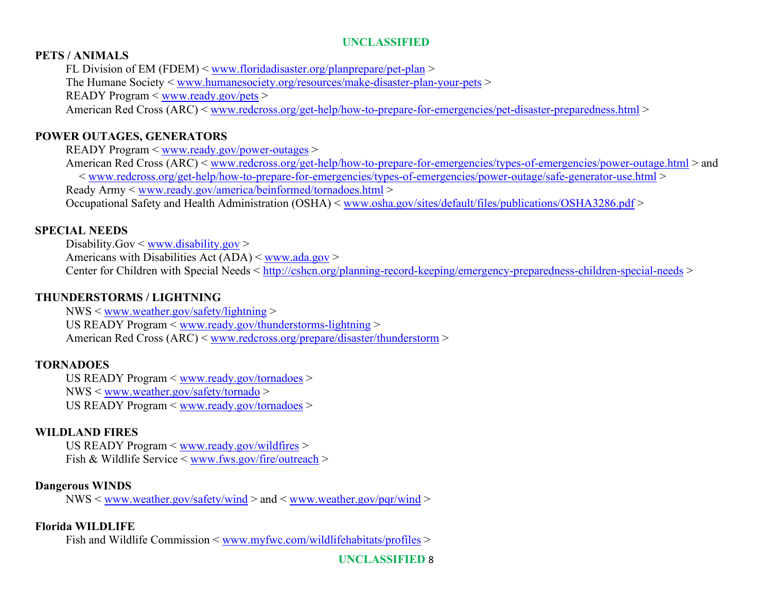#### **PETS / ANIMALS**

FL Division of EM (FDEM) < [www.floridadisaster.org/planprepare/pet-plan](http://www.floridadisaster.org/planprepare/pet-plan) > The Humane Society < [www.humanesociety.org/resources/make-disaster-plan-your-pets](http://www.humanesociety.org/resources/make-disaster-plan-your-pets) > READY Program < [www.ready.gov/pets](http://www.ready.gov/pets) > American Red Cross (ARC) < [www.redcross.org/get-help/how-to-prepare-for-emergencies/pet-disaster-preparedness.html](http://www.redcross.org/get-help/how-to-prepare-for-emergencies/pet-disaster-preparedness.html) >

#### **POWER OUTAGES, GENERATORS**

READY Program < [www.ready.gov/power-outages](http://www.ready.gov/power-outages) >

American Red Cross (ARC) < [www.redcross.org/get-help/how-to-prepare-for-emergencies/types-of-emergencies/power-outage.html](http://www.redcross.org/get-help/how-to-prepare-for-emergencies/types-of-emergencies/power-outage.html) > and < [www.redcross.org/get-help/how-to-prepare-for-emergencies/types-of-emergencies/power-outage/safe-generator-use.html](http://www.redcross.org/get-help/how-to-prepare-for-emergencies/types-of-emergencies/power-outage/safe-generator-use.html) > Ready Army < [www.ready.gov/america/beinformed/tornadoes.html](http://www.ready.gov/america/beinformed/tornadoes.html) > Occupational Safety and Health Administration (OSHA) < [www.osha.gov/sites/default/files/publications/OSHA3286.pdf](http://www.osha.gov/sites/default/files/publications/OSHA3286.pdf) >

#### **SPECIAL NEEDS**

Disability.Gov < [www.disability.gov](http://www.disability.gov/) > Americans with Disabilities Act  $(ADA) <$  [www.ada.gov](http://www.ada.gov/) > Center for Children with Special Needs < <http://cshcn.org/planning-record-keeping/emergency-preparedness-children-special-needs> >

#### **THUNDERSTORMS / LIGHTNING**

NWS < [www.weather.gov/safety/lightning](http://www.weather.gov/safety/lightning) > US READY Program < [www.ready.gov/thunderstorms-lightning](http://www.ready.gov/thunderstorms-lightning) > American Red Cross (ARC) < [www.redcross.org/prepare/disaster/thunderstorm](http://www.redcross.org/prepare/disaster/thunderstorm) >

## **TORNADOES**

US READY Program < [www.ready.gov/tornadoes](http://www.ready.gov/tornadoes) > NWS < [www.weather.gov/safety/tornado](http://www.weather.gov/safety/tornado) > US READY Program < [www.ready.gov/tornadoes](http://www.ready.gov/tornadoes) >

#### **WILDLAND FIRES**

US READY Program < [www.ready.gov/wildfires](http://www.ready.gov/wildfires) > Fish & Wildlife Service  $\leq$  [www.fws.gov/fire/outreach](http://www.fws.gov/fire/outreach)  $>$ 

#### **Dangerous WINDS**

 $NWS <$  [www.weather.gov/safety/wind](http://www.weather.gov/safety/wind) > and < [www.weather.gov/pqr/wind](http://www.weather.gov/pqr/wind) >

#### **Florida WILDLIFE**

Fish and Wildlife Commission < [www.myfwc.com/wildlifehabitats/profiles](http://www.myfwc.com/wildlifehabitats/profiles) >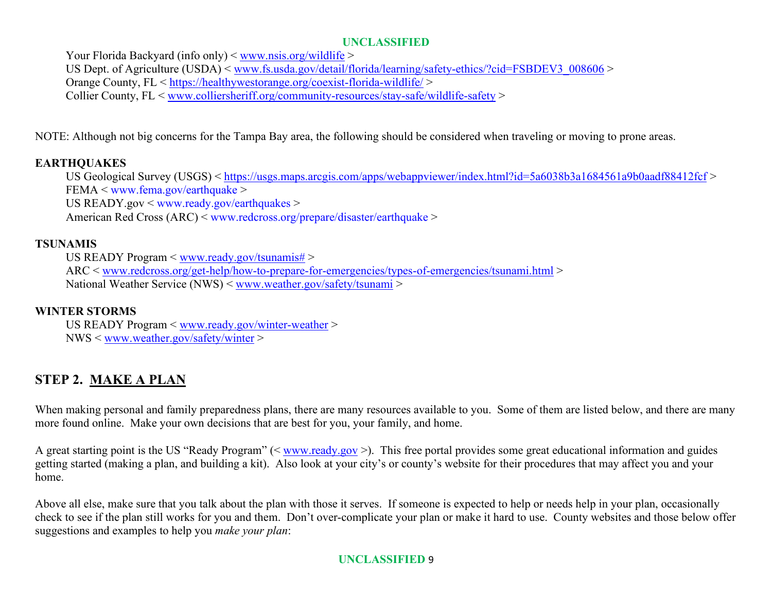Your Florida Backyard (info only) < [www.nsis.org/wildlife](http://www.nsis.org/wildlife) > US Dept. of Agriculture (USDA) < [www.fs.usda.gov/detail/florida/learning/safety-](http://www.fs.usda.gov/detail/florida/learning/safety-ethics/?cid=FSBDEV3_008606)ethics/?cid=FSBDEV3\_008606 > Orange County, FL <<https://healthywestorange.org/coexist-florida-wildlife/> > Collier County, FL < [www.colliersheriff.org/community-resources/stay-safe/wildlife-safety](http://www.colliersheriff.org/community-resources/stay-safe/wildlife-safety) >

NOTE: Although not big concerns for the Tampa Bay area, the following should be considered when traveling or moving to prone areas.

## **EARTHQUAKES**

US Geological Survey (USGS) <<https://usgs.maps.arcgis.com/apps/webappviewer/index.html?id=5a6038b3a1684561a9b0aadf88412fcf> > FEMA < [www.fema.gov/earthquake](http://www.fema.gov/earthquake) >

US READY.gov < [www.ready.gov/earthquakes](http://www.ready.gov/earthquakes) >

American Red Cross (ARC) < [www.redcross.org/prepare/disaster/earthquake](http://www.redcross.org/prepare/disaster/earthquake) >

## **TSUNAMIS**

US READY Program < [www.ready.gov/tsunamis#](http://www.ready.gov/tsunamis) >

ARC < [www.redcross.org/get-help/how-to-prepare-for-emergencies/types-of-emergencies/tsunami.html](http://www.redcross.org/get-help/how-to-prepare-for-emergencies/types-of-emergencies/tsunami.html) > National Weather Service (NWS) < [www.weather.gov/safety/tsunami](http://www.weather.gov/safety/tsunami) >

## **WINTER STORMS**

US READY Program < [www.ready.gov/winter-weather](http://www.ready.gov/winter-weather) > NWS < [www.weather.gov/safety/winter](http://www.weather.gov/safety/winter) >

# **STEP 2. MAKE A PLAN**

When making personal and family preparedness plans, there are many resources available to you. Some of them are listed below, and there are many more found online. Make your own decisions that are best for you, your family, and home.

A great starting point is the US "Ready Program" (< [www.ready.gov](http://www.ready.gov/) >). This free portal provides some great educational information and guides getting started (making a plan, and building a kit). Also look at your city's or county's website for their procedures that may affect you and your home.

Above all else, make sure that you talk about the plan with those it serves. If someone is expected to help or needs help in your plan, occasionally check to see if the plan still works for you and them. Don't over-complicate your plan or make it hard to use. County websites and those below offer suggestions and examples to help you *make your plan*: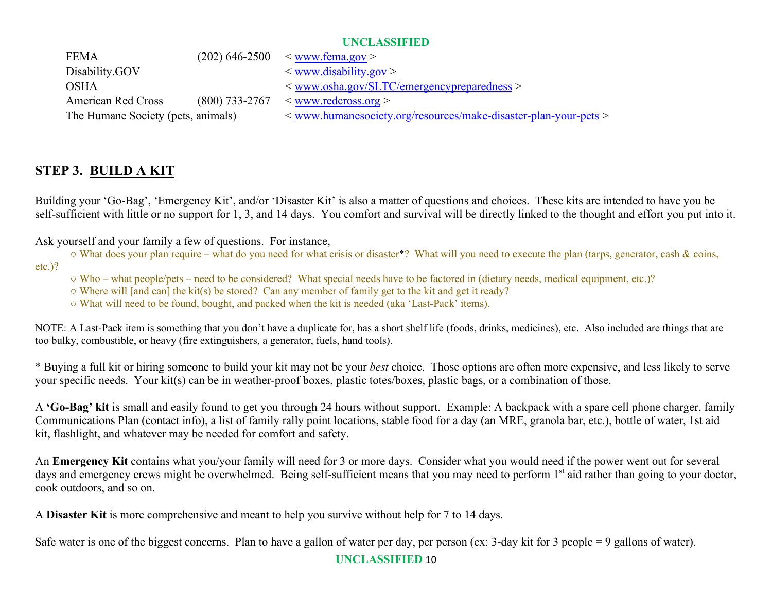| <b>FEMA</b>                        |                  | $(202)$ 646-2500 $\leq$ www.fema.gov >                                           |
|------------------------------------|------------------|----------------------------------------------------------------------------------|
| Disability.GOV                     |                  | $\leq$ www.disability.gov $>$                                                    |
| OSHA                               |                  | $\langle$ www.osha.gov/SLTC/emergencypreparedness $>$                            |
| <b>American Red Cross</b>          | $(800)$ 733-2767 | $\langle$ www.redcross.org $>$                                                   |
| The Humane Society (pets, animals) |                  | $\langle$ www.humanesociety.org/resources/make-disaster-plan-your-pets $\langle$ |

# **STEP 3. BUILD A KIT**

Building your 'Go-Bag', 'Emergency Kit', and/or 'Disaster Kit' is also a matter of questions and choices. These kits are intended to have you be self-sufficient with little or no support for 1, 3, and 14 days. You comfort and survival will be directly linked to the thought and effort you put into it.

Ask yourself and your family a few of questions. For instance,

○ What does your plan require – what do you need for what crisis or disaster<sup>\*</sup>? What will you need to execute the plan (tarps, generator, cash & coins,

etc.)?

○ Who – what people/pets – need to be considered? What special needs have to be factored in (dietary needs, medical equipment, etc.)?

○ Where will [and can] the kit(s) be stored? Can any member of family get to the kit and get it ready?

○ What will need to be found, bought, and packed when the kit is needed (aka 'Last-Pack' items).

NOTE: A Last-Pack item is something that you don't have a duplicate for, has a short shelf life (foods, drinks, medicines), etc. Also included are things that are too bulky, combustible, or heavy (fire extinguishers, a generator, fuels, hand tools).

\* Buying a full kit or hiring someone to build your kit may not be your *best* choice. Those options are often more expensive, and less likely to serve your specific needs. Your kit(s) can be in weather-proof boxes, plastic totes/boxes, plastic bags, or a combination of those.

A **'Go-Bag' kit** is small and easily found to get you through 24 hours without support. Example: A backpack with a spare cell phone charger, family Communications Plan (contact info), a list of family rally point locations, stable food for a day (an MRE, granola bar, etc.), bottle of water, 1st aid kit, flashlight, and whatever may be needed for comfort and safety.

An **Emergency Kit** contains what you/your family will need for 3 or more days. Consider what you would need if the power went out for several days and emergency crews might be overwhelmed. Being self-sufficient means that you may need to perform 1<sup>st</sup> aid rather than going to your doctor, cook outdoors, and so on.

A **Disaster Kit** is more comprehensive and meant to help you survive without help for 7 to 14 days.

Safe water is one of the biggest concerns. Plan to have a gallon of water per day, per person (ex: 3-day kit for 3 people = 9 gallons of water).